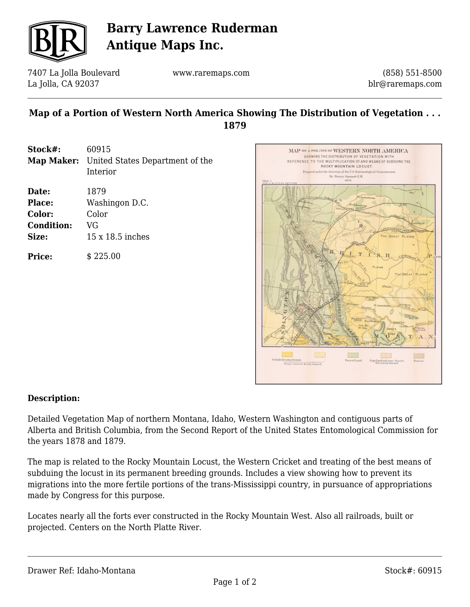

# **Barry Lawrence Ruderman Antique Maps Inc.**

7407 La Jolla Boulevard La Jolla, CA 92037

www.raremaps.com

(858) 551-8500 blr@raremaps.com

### **Map of a Portion of Western North America Showing The Distribution of Vegetation . . . 1879**

| Stock#:           | 60915                                             |
|-------------------|---------------------------------------------------|
|                   | <b>Map Maker:</b> United States Department of the |
|                   | Interior                                          |
| Date:             | 1879                                              |
| Place:            | Washingon D.C.                                    |
| Color:            | Color                                             |
| <b>Condition:</b> | VG                                                |
| Size:             | $15 \times 18.5$ inches                           |
|                   |                                                   |

**Price:**  $$225.00$ 



#### **Description:**

Detailed Vegetation Map of northern Montana, Idaho, Western Washington and contiguous parts of Alberta and British Columbia, from the Second Report of the United States Entomological Commission for the years 1878 and 1879.

The map is related to the Rocky Mountain Locust, the Western Cricket and treating of the best means of subduing the locust in its permanent breeding grounds. Includes a view showing how to prevent its migrations into the more fertile portions of the trans-Mississippi country, in pursuance of appropriations made by Congress for this purpose.

Locates nearly all the forts ever constructed in the Rocky Mountain West. Also all railroads, built or projected. Centers on the North Platte River.